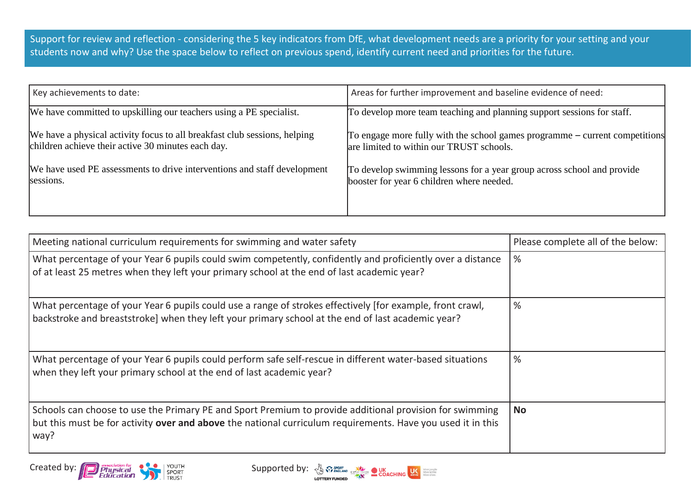Support for review and reflection - considering the 5 key indicators from DfE, what development needs are a priority for your setting and your students now and why? Use the space below to reflect on previous spend, identify current need and priorities for the future.

| Key achievements to date:                                                 | Areas for further improvement and baseline evidence of need:                |
|---------------------------------------------------------------------------|-----------------------------------------------------------------------------|
| We have committed to upskilling our teachers using a PE specialist.       | To develop more team teaching and planning support sessions for staff.      |
| We have a physical activity focus to all breakfast club sessions, helping | To engage more fully with the school games programme – current competitions |
| children achieve their active 30 minutes each day.                        | are limited to within our TRUST schools.                                    |
| We have used PE assessments to drive interventions and staff development  | To develop swimming lessons for a year group across school and provide      |
| sessions.                                                                 | booster for year 6 children where needed.                                   |

| Meeting national curriculum requirements for swimming and water safety                                                                                                                                                         | Please complete all of the below: |
|--------------------------------------------------------------------------------------------------------------------------------------------------------------------------------------------------------------------------------|-----------------------------------|
| What percentage of your Year 6 pupils could swim competently, confidently and proficiently over a distance<br>of at least 25 metres when they left your primary school at the end of last academic year?                       | %                                 |
| What percentage of your Year 6 pupils could use a range of strokes effectively [for example, front crawl,<br>backstroke and breaststroke] when they left your primary school at the end of last academic year?                 | %                                 |
| What percentage of your Year 6 pupils could perform safe self-rescue in different water-based situations<br>when they left your primary school at the end of last academic year?                                               | %                                 |
| Schools can choose to use the Primary PE and Sport Premium to provide additional provision for swimming<br>but this must be for activity over and above the national curriculum requirements. Have you used it in this<br>way? | <b>No</b>                         |



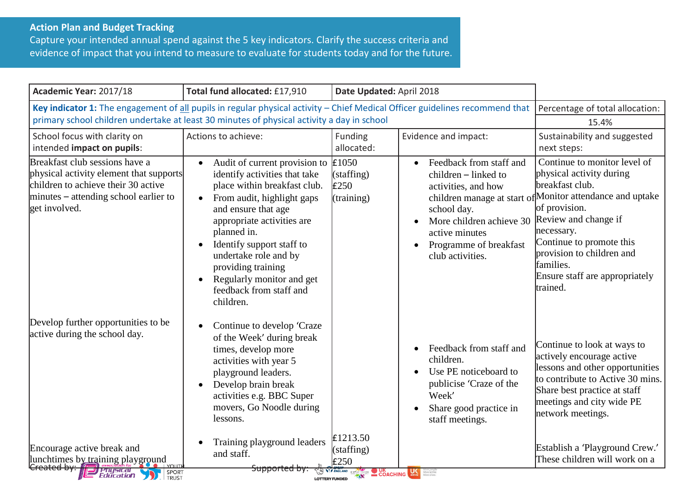## **Action Plan and Budget Tracking**

Capture your intended annual spend against the 5 key indicators. Clarify the success criteria and evidence of impact that you intend to measure to evaluate for students today and for the future.

| Academic Year: 2017/18                                                                                                                                                                                                     | Total fund allocated: £17,910                                                                                                                                                                                                                                                                                                                                               | Date Updated: April 2018                        |                                                                                                                                                                                                                          |                                                                                                                                                                                                                                                                                                                     |
|----------------------------------------------------------------------------------------------------------------------------------------------------------------------------------------------------------------------------|-----------------------------------------------------------------------------------------------------------------------------------------------------------------------------------------------------------------------------------------------------------------------------------------------------------------------------------------------------------------------------|-------------------------------------------------|--------------------------------------------------------------------------------------------------------------------------------------------------------------------------------------------------------------------------|---------------------------------------------------------------------------------------------------------------------------------------------------------------------------------------------------------------------------------------------------------------------------------------------------------------------|
| Key indicator 1: The engagement of all pupils in regular physical activity - Chief Medical Officer guidelines recommend that<br>primary school children undertake at least 30 minutes of physical activity a day in school | Percentage of total allocation:<br>15.4%                                                                                                                                                                                                                                                                                                                                    |                                                 |                                                                                                                                                                                                                          |                                                                                                                                                                                                                                                                                                                     |
| School focus with clarity on<br>intended impact on pupils:                                                                                                                                                                 | Actions to achieve:                                                                                                                                                                                                                                                                                                                                                         | Funding<br>allocated:                           | Evidence and impact:                                                                                                                                                                                                     | Sustainability and suggested<br>next steps:                                                                                                                                                                                                                                                                         |
| Breakfast club sessions have a<br>physical activity element that supports<br>children to achieve their 30 active<br>minutes – attending school earlier to<br>get involved.                                                 | Audit of current provision to<br>$\bullet$<br>identify activities that take<br>place within breakfast club.<br>From audit, highlight gaps<br>$\bullet$<br>and ensure that age<br>appropriate activities are<br>planned in.<br>Identify support staff to<br>undertake role and by<br>providing training<br>Regularly monitor and get<br>feedback from staff and<br>children. | £1050<br>(staffing)<br>£250<br>(training)       | Feedback from staff and<br>$\bullet$<br>children – linked to<br>activities, and how<br>school day.<br>More children achieve 30<br>$\bullet$<br>active minutes<br>Programme of breakfast<br>$\bullet$<br>club activities. | Continue to monitor level of<br>physical activity during<br>breakfast club.<br>children manage at start of Monitor attendance and uptake<br>of provision.<br>Review and change if<br>necessary.<br>Continue to promote this<br>provision to children and<br>families.<br>Ensure staff are appropriately<br>trained. |
| Develop further opportunities to be<br>active during the school day.                                                                                                                                                       | Continue to develop 'Craze<br>$\bullet$<br>of the Week' during break<br>times, develop more<br>activities with year 5<br>playground leaders.<br>Develop brain break<br>$\bullet$<br>activities e.g. BBC Super<br>movers, Go Noodle during<br>lessons.                                                                                                                       | £1213.50                                        | Feedback from staff and<br>$\bullet$<br>children.<br>Use PE noticeboard to<br>$\bullet$<br>publicise 'Craze of the<br>Week'<br>Share good practice in<br>$\bullet$<br>staff meetings.                                    | Continue to look at ways to<br>actively encourage active<br>lessons and other opportunities<br>to contribute to Active 30 mins.<br>Share best practice at staff<br>meetings and city wide PE<br>network meetings.                                                                                                   |
| Encourage active break and<br>lunchtimes by training playground<br>Physical <b>Physical</b><br>SPORT                                                                                                                       | Training playground leaders<br>and staff.<br><del>upported by</del>                                                                                                                                                                                                                                                                                                         | (staffing)<br>£250<br>COACHING SERVICE COACHING |                                                                                                                                                                                                                          | Establish a 'Playground Crew.'<br>These children will work on a                                                                                                                                                                                                                                                     |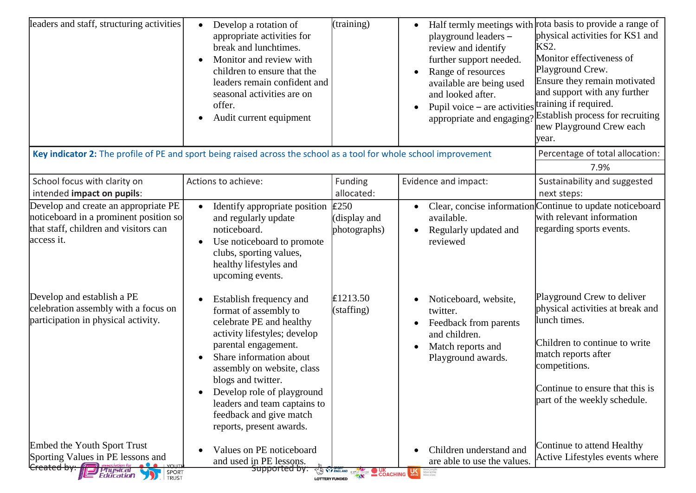| leaders and staff, structuring activities                                                                                                                                 | Develop a rotation of<br>$\bullet$<br>appropriate activities for<br>break and lunchtimes.<br>Monitor and review with<br>$\bullet$<br>children to ensure that the<br>leaders remain confident and<br>seasonal activities are on<br>offer.<br>Audit current equipment<br>$\bullet$                                                                                        | (training)                                               | playground leaders -<br>review and identify<br>further support needed.<br>Range of resources<br>available are being used<br>and looked after.<br>Pupil voice – are activities training if required.<br>appropriate and engaging | Half termly meetings with rota basis to provide a range of<br>physical activities for KS1 and<br>KS <sub>2</sub> .<br>Monitor effectiveness of<br>Playground Crew.<br>Ensure they remain motivated<br>and support with any further<br>Establish process for recruiting<br>new Playground Crew each<br>year. |
|---------------------------------------------------------------------------------------------------------------------------------------------------------------------------|-------------------------------------------------------------------------------------------------------------------------------------------------------------------------------------------------------------------------------------------------------------------------------------------------------------------------------------------------------------------------|----------------------------------------------------------|---------------------------------------------------------------------------------------------------------------------------------------------------------------------------------------------------------------------------------|-------------------------------------------------------------------------------------------------------------------------------------------------------------------------------------------------------------------------------------------------------------------------------------------------------------|
| Key indicator 2: The profile of PE and sport being raised across the school as a tool for whole school improvement                                                        |                                                                                                                                                                                                                                                                                                                                                                         |                                                          |                                                                                                                                                                                                                                 | Percentage of total allocation:<br>7.9%                                                                                                                                                                                                                                                                     |
| School focus with clarity on<br>intended impact on pupils:                                                                                                                | Actions to achieve:                                                                                                                                                                                                                                                                                                                                                     | Funding<br>allocated:                                    | Evidence and impact:                                                                                                                                                                                                            | Sustainability and suggested<br>next steps:                                                                                                                                                                                                                                                                 |
| Develop and create an appropriate PE<br>noticeboard in a prominent position so<br>that staff, children and visitors can<br>access it.                                     | Identify appropriate position<br>$\bullet$<br>and regularly update<br>noticeboard.<br>Use noticeboard to promote<br>$\bullet$<br>clubs, sporting values,<br>healthy lifestyles and<br>upcoming events.                                                                                                                                                                  | £250<br>(display and<br>photographs)                     | available.<br>Regularly updated and<br>reviewed                                                                                                                                                                                 | Clear, concise information Continue to update noticeboard<br>with relevant information<br>regarding sports events.                                                                                                                                                                                          |
| Develop and establish a PE<br>celebration assembly with a focus on<br>participation in physical activity.                                                                 | Establish frequency and<br>$\bullet$<br>format of assembly to<br>celebrate PE and healthy<br>activity lifestyles; develop<br>parental engagement.<br>Share information about<br>$\bullet$<br>assembly on website, class<br>blogs and twitter.<br>Develop role of playground<br>٠<br>leaders and team captains to<br>feedback and give match<br>reports, present awards. | £1213.50<br>(statfing)                                   | Noticeboard, website,<br>twitter.<br>Feedback from parents<br>and children.<br>Match reports and<br>Playground awards.                                                                                                          | Playground Crew to deliver<br>physical activities at break and<br>lunch times.<br>Children to continue to write<br>match reports after<br>competitions.<br>Continue to ensure that this is<br>part of the weekly schedule.                                                                                  |
| Embed the Youth Sport Trust<br>Sporting Values in PE lessons and<br><b>VOLITE</b><br><b>Created by:</b><br>association for<br>  Physical<br>  Education<br>SPORT<br>TRUST | Values on PE noticeboard<br>$\bullet$<br>and used in PE lessons.<br><del>Supported by:</del>                                                                                                                                                                                                                                                                            | <b>TO WE ENGLAND CSPNETWORK</b><br><b>LOTTERY FUNDED</b> | Children understand and<br>are able to use the values.<br><b>COACHING</b>                                                                                                                                                       | Continue to attend Healthy<br>Active Lifestyles events where                                                                                                                                                                                                                                                |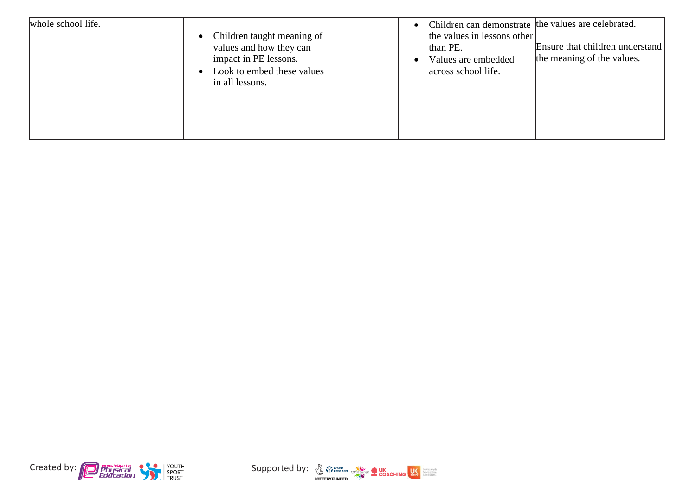| whole school life. | • Children taught meaning of<br>values and how they can<br>impact in PE lessons.<br>Look to embed these values<br>in all lessons. | Children can demonstrate the values are celebrated.<br>$\bullet$<br>the values in lessons other<br>than PE.<br>Values are embedded<br>across school life. | Ensure that children understand<br>the meaning of the values. |
|--------------------|-----------------------------------------------------------------------------------------------------------------------------------|-----------------------------------------------------------------------------------------------------------------------------------------------------------|---------------------------------------------------------------|
|--------------------|-----------------------------------------------------------------------------------------------------------------------------------|-----------------------------------------------------------------------------------------------------------------------------------------------------------|---------------------------------------------------------------|



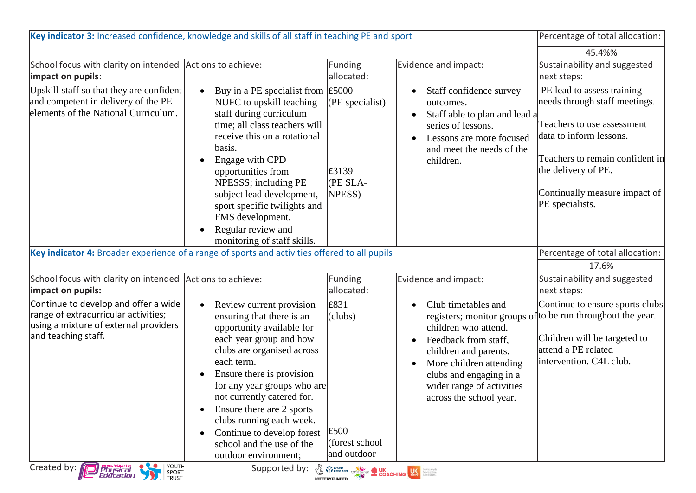| Key indicator 3: Increased confidence, knowledge and skills of all staff in teaching PE and sport                                            | Percentage of total allocation:                                                                                                                                                                                                                                                                                                                                                                                                        |                                                           |                                                                                                                                                                                                            |                                                                                                                                                                                                                                    |
|----------------------------------------------------------------------------------------------------------------------------------------------|----------------------------------------------------------------------------------------------------------------------------------------------------------------------------------------------------------------------------------------------------------------------------------------------------------------------------------------------------------------------------------------------------------------------------------------|-----------------------------------------------------------|------------------------------------------------------------------------------------------------------------------------------------------------------------------------------------------------------------|------------------------------------------------------------------------------------------------------------------------------------------------------------------------------------------------------------------------------------|
|                                                                                                                                              |                                                                                                                                                                                                                                                                                                                                                                                                                                        |                                                           |                                                                                                                                                                                                            | 45.4%%                                                                                                                                                                                                                             |
| School focus with clarity on intended Actions to achieve:<br>impact on pupils:                                                               |                                                                                                                                                                                                                                                                                                                                                                                                                                        | Funding<br>allocated:                                     | Evidence and impact:                                                                                                                                                                                       | Sustainability and suggested<br>next steps:                                                                                                                                                                                        |
| Upskill staff so that they are confident<br>and competent in delivery of the PE<br>elements of the National Curriculum.                      | Buy in a PE specialist from $\text{\pounds}5000$<br>$\bullet$<br>NUFC to upskill teaching<br>staff during curriculum<br>time; all class teachers will<br>receive this on a rotational<br>basis.<br>Engage with CPD<br>$\bullet$<br>opportunities from<br>NPESSS; including PE<br>subject lead development,<br>sport specific twilights and<br>FMS development.<br>Regular review and<br>$\bullet$<br>monitoring of staff skills.       | $(PE$ specialist)<br>£3139<br>(PE SLA-<br>NPESS)          | Staff confidence survey<br>outcomes.<br>Staff able to plan and lead a<br>series of lessons.<br>Lessons are more focused<br>and meet the needs of the<br>children.                                          | PE lead to assess training<br>needs through staff meetings.<br>Teachers to use assessment<br>data to inform lessons.<br>Teachers to remain confident in<br>the delivery of PE.<br>Continually measure impact of<br>PE specialists. |
| Key indicator 4: Broader experience of a range of sports and activities offered to all pupils                                                |                                                                                                                                                                                                                                                                                                                                                                                                                                        |                                                           |                                                                                                                                                                                                            | Percentage of total allocation:<br>17.6%                                                                                                                                                                                           |
| School focus with clarity on intended Actions to achieve:<br>impact on pupils:                                                               |                                                                                                                                                                                                                                                                                                                                                                                                                                        | <b>Funding</b><br>allocated:                              | Evidence and impact:                                                                                                                                                                                       | Sustainability and suggested<br>next steps:                                                                                                                                                                                        |
| Continue to develop and offer a wide<br>range of extracurricular activities;<br>using a mixture of external providers<br>and teaching staff. | Review current provision<br>$\bullet$<br>ensuring that there is an<br>opportunity available for<br>each year group and how<br>clubs are organised across<br>each term.<br>Ensure there is provision<br>$\bullet$<br>for any year groups who are<br>not currently catered for.<br>Ensure there are 2 sports<br>clubs running each week.<br>Continue to develop forest<br>$\bullet$<br>school and the use of the<br>outdoor environment: | £831<br>(clubs)<br>£500<br>(forest school)<br>and outdoor | Club timetables and<br>children who attend.<br>Feedback from staff,<br>children and parents.<br>More children attending<br>clubs and engaging in a<br>wider range of activities<br>across the school year. | Continue to ensure sports clubs<br>registers; monitor groups of to be run throughout the year.<br>Children will be targeted to<br>attend a PE related<br>intervention. C4L club.                                                   |
| YOUTH<br>Created by: <b>Physical</b><br>Education<br>SPORT<br>TRUST                                                                          | Supported by: $\frac{1}{2}$ $\frac{1}{2}$ $\frac{1}{2}$ $\frac{1}{2}$ $\frac{1}{2}$ COACHING $\frac{1}{2}$                                                                                                                                                                                                                                                                                                                             |                                                           |                                                                                                                                                                                                            |                                                                                                                                                                                                                                    |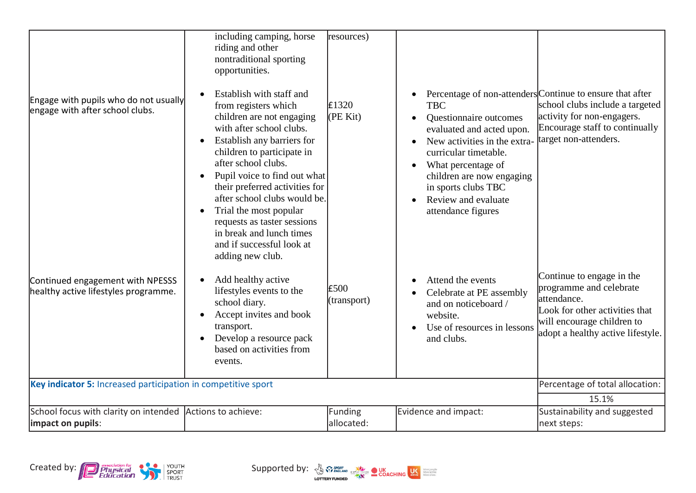| Engage with pupils who do not usually<br>engage with after school clubs.<br>Continued engagement with NPESSS<br>healthy active lifestyles programme. | including camping, horse<br>riding and other<br>nontraditional sporting<br>opportunities.<br>Establish with staff and<br>$\bullet$<br>from registers which<br>children are not engaging<br>with after school clubs.<br>Establish any barriers for<br>$\bullet$<br>children to participate in<br>after school clubs.<br>Pupil voice to find out what<br>$\bullet$<br>their preferred activities for<br>after school clubs would be.<br>Trial the most popular<br>$\bullet$<br>requests as taster sessions<br>in break and lunch times<br>and if successful look at<br>adding new club.<br>Add healthy active<br>$\bullet$<br>lifestyles events to the<br>school diary.<br>Accept invites and book<br>$\bullet$<br>transport.<br>Develop a resource pack<br>$\bullet$<br>based on activities from<br>events. | resources)<br>£1320<br>(PE Kit)<br>£500<br>(transport) | <b>TBC</b><br>Questionnaire outcomes<br>evaluated and acted upon.<br>New activities in the extra-<br>curricular timetable.<br>What percentage of<br>$\bullet$<br>children are now engaging<br>in sports clubs TBC<br>Review and evaluate<br>attendance figures<br>Attend the events<br>$\bullet$<br>Celebrate at PE assembly<br>and on noticeboard /<br>website.<br>Use of resources in lessons<br>and clubs. | Percentage of non-attenders Continue to ensure that after<br>school clubs include a targeted<br>activity for non-engagers.<br>Encourage staff to continually<br>target non-attenders.<br>Continue to engage in the<br>programme and celebrate<br>attendance.<br>Look for other activities that<br>will encourage children to<br>adopt a healthy active lifestyle. |
|------------------------------------------------------------------------------------------------------------------------------------------------------|------------------------------------------------------------------------------------------------------------------------------------------------------------------------------------------------------------------------------------------------------------------------------------------------------------------------------------------------------------------------------------------------------------------------------------------------------------------------------------------------------------------------------------------------------------------------------------------------------------------------------------------------------------------------------------------------------------------------------------------------------------------------------------------------------------|--------------------------------------------------------|---------------------------------------------------------------------------------------------------------------------------------------------------------------------------------------------------------------------------------------------------------------------------------------------------------------------------------------------------------------------------------------------------------------|-------------------------------------------------------------------------------------------------------------------------------------------------------------------------------------------------------------------------------------------------------------------------------------------------------------------------------------------------------------------|
| Key indicator 5: Increased participation in competitive sport                                                                                        |                                                                                                                                                                                                                                                                                                                                                                                                                                                                                                                                                                                                                                                                                                                                                                                                            |                                                        |                                                                                                                                                                                                                                                                                                                                                                                                               | Percentage of total allocation:                                                                                                                                                                                                                                                                                                                                   |
|                                                                                                                                                      |                                                                                                                                                                                                                                                                                                                                                                                                                                                                                                                                                                                                                                                                                                                                                                                                            |                                                        |                                                                                                                                                                                                                                                                                                                                                                                                               | 15.1%                                                                                                                                                                                                                                                                                                                                                             |
| School focus with clarity on intended Actions to achieve:<br>impact on pupils:                                                                       |                                                                                                                                                                                                                                                                                                                                                                                                                                                                                                                                                                                                                                                                                                                                                                                                            | Funding<br>allocated:                                  | Evidence and impact:                                                                                                                                                                                                                                                                                                                                                                                          | Sustainability and suggested<br>next steps:                                                                                                                                                                                                                                                                                                                       |